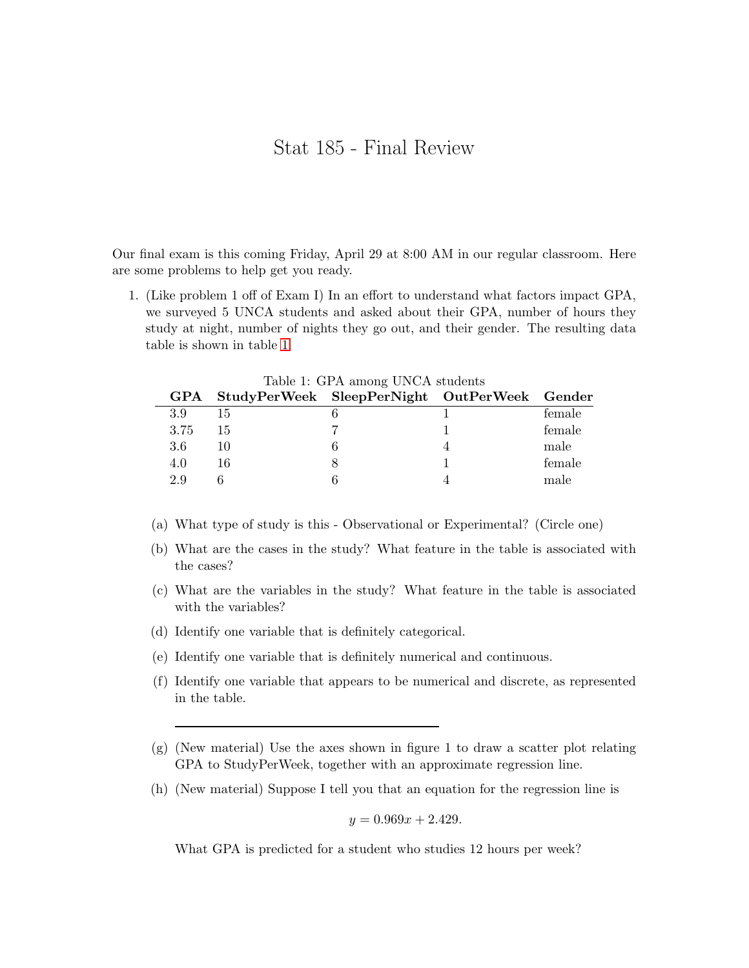## Stat 185 - Final Review

Our final exam is this coming Friday, April 29 at 8:00 AM in our regular classroom. Here are some problems to help get you ready.

1. (Like problem 1 off of Exam I) In an effort to understand what factors impact GPA, we surveyed 5 UNCA students and asked about their GPA, number of hours they study at night, number of nights they go out, and their gender. The resulting data table is shown in table [1.](#page-0-0)

| <b>GPA</b> |    | Lable 1. G1 A alliong UNUA Students<br>StudyPerWeek SleepPerNight OutPerWeek Gender |        |
|------------|----|-------------------------------------------------------------------------------------|--------|
| 3.9        | 15 |                                                                                     | female |
| 3.75       | 15 |                                                                                     | female |
| 3.6        | 10 |                                                                                     | male   |
| 4.0        | 16 |                                                                                     | female |
| 2.9        |    |                                                                                     | male   |
|            |    |                                                                                     |        |

<span id="page-0-0"></span>Table 1: GPA among UNCA students

- (a) What type of study is this Observational or Experimental? (Circle one)
- (b) What are the cases in the study? What feature in the table is associated with the cases?
- (c) What are the variables in the study? What feature in the table is associated with the variables?
- (d) Identify one variable that is definitely categorical.
- (e) Identify one variable that is definitely numerical and continuous.
- (f) Identify one variable that appears to be numerical and discrete, as represented in the table.
- (g) (New material) Use the axes shown in figure 1 to draw a scatter plot relating GPA to StudyPerWeek, together with an approximate regression line.
- (h) (New material) Suppose I tell you that an equation for the regression line is

 $y = 0.969x + 2.429.$ 

What GPA is predicted for a student who studies 12 hours per week?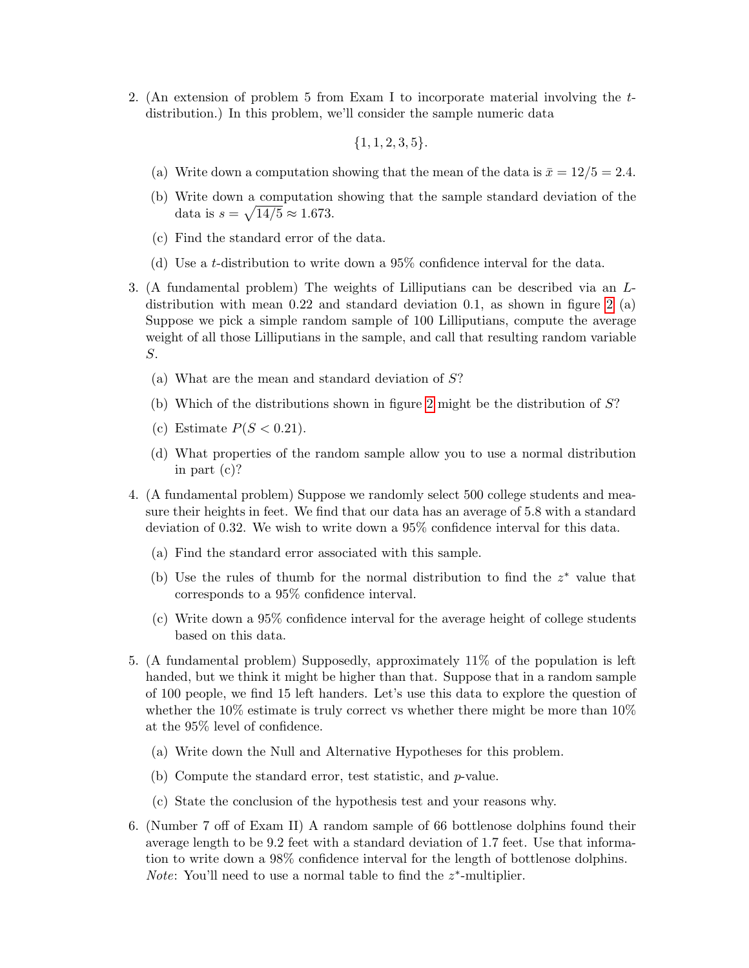2. (An extension of problem 5 from Exam I to incorporate material involving the tdistribution.) In this problem, we'll consider the sample numeric data

 ${1, 1, 2, 3, 5}.$ 

- (a) Write down a computation showing that the mean of the data is  $\bar{x} = 12/5 = 2.4$ .
- (b) Write down a computation showing that the sample standard deviation of the data is  $s = \sqrt{14/5} \approx 1.673$ .
- (c) Find the standard error of the data.
- (d) Use a t-distribution to write down a 95% confidence interval for the data.
- 3. (A fundamental problem) The weights of Lilliputians can be described via an Ldistribution with mean 0.22 and standard deviation 0.1, as shown in figure [2](#page-3-0) (a) Suppose we pick a simple random sample of 100 Lilliputians, compute the average weight of all those Lilliputians in the sample, and call that resulting random variable S.
	- (a) What are the mean and standard deviation of S?
	- (b) Which of the distributions shown in figure [2](#page-3-0) might be the distribution of S?
	- (c) Estimate  $P(S < 0.21)$ .
	- (d) What properties of the random sample allow you to use a normal distribution in part (c)?
- 4. (A fundamental problem) Suppose we randomly select 500 college students and measure their heights in feet. We find that our data has an average of 5.8 with a standard deviation of 0.32. We wish to write down a 95% confidence interval for this data.
	- (a) Find the standard error associated with this sample.
	- (b) Use the rules of thumb for the normal distribution to find the  $z^*$  value that corresponds to a 95% confidence interval.
	- (c) Write down a 95% confidence interval for the average height of college students based on this data.
- 5. (A fundamental problem) Supposedly, approximately 11% of the population is left handed, but we think it might be higher than that. Suppose that in a random sample of 100 people, we find 15 left handers. Let's use this data to explore the question of whether the  $10\%$  estimate is truly correct vs whether there might be more than  $10\%$ at the 95% level of confidence.
	- (a) Write down the Null and Alternative Hypotheses for this problem.
	- (b) Compute the standard error, test statistic, and p-value.
	- (c) State the conclusion of the hypothesis test and your reasons why.
- 6. (Number 7 off of Exam II) A random sample of 66 bottlenose dolphins found their average length to be 9.2 feet with a standard deviation of 1.7 feet. Use that information to write down a 98% confidence interval for the length of bottlenose dolphins. *Note*: You'll need to use a normal table to find the  $z^*$ -multiplier.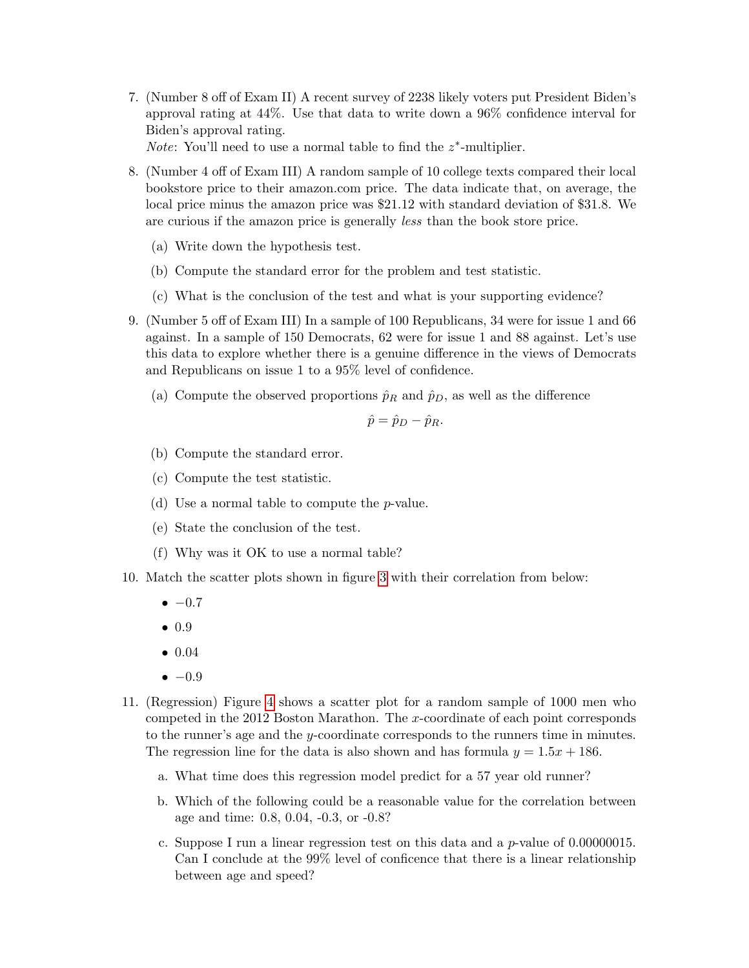7. (Number 8 off of Exam II) A recent survey of 2238 likely voters put President Biden's approval rating at 44%. Use that data to write down a 96% confidence interval for Biden's approval rating.

*Note*: You'll need to use a normal table to find the  $z^*$ -multiplier.

- 8. (Number 4 off of Exam III) A random sample of 10 college texts compared their local bookstore price to their amazon.com price. The data indicate that, on average, the local price minus the amazon price was \$21.12 with standard deviation of \$31.8. We are curious if the amazon price is generally less than the book store price.
	- (a) Write down the hypothesis test.
	- (b) Compute the standard error for the problem and test statistic.
	- (c) What is the conclusion of the test and what is your supporting evidence?
- 9. (Number 5 off of Exam III) In a sample of 100 Republicans, 34 were for issue 1 and 66 against. In a sample of 150 Democrats, 62 were for issue 1 and 88 against. Let's use this data to explore whether there is a genuine difference in the views of Democrats and Republicans on issue 1 to a 95% level of confidence.
	- (a) Compute the observed proportions  $\hat{p}_R$  and  $\hat{p}_D$ , as well as the difference

$$
\hat{p} = \hat{p}_D - \hat{p}_R.
$$

- (b) Compute the standard error.
- (c) Compute the test statistic.
- (d) Use a normal table to compute the p-value.
- (e) State the conclusion of the test.
- (f) Why was it OK to use a normal table?
- 10. Match the scatter plots shown in figure [3](#page-4-0) with their correlation from below:
	- $-0.7$
	- 0.9
	- 0.04
	- $\bullet -0.9$
- 11. (Regression) Figure [4](#page-5-0) shows a scatter plot for a random sample of 1000 men who competed in the 2012 Boston Marathon. The x-coordinate of each point corresponds to the runner's age and the y-coordinate corresponds to the runners time in minutes. The regression line for the data is also shown and has formula  $y = 1.5x + 186$ .
	- a. What time does this regression model predict for a 57 year old runner?
	- b. Which of the following could be a reasonable value for the correlation between age and time: 0.8, 0.04, -0.3, or -0.8?
	- c. Suppose I run a linear regression test on this data and a  $p$ -value of 0.00000015. Can I conclude at the 99% level of conficence that there is a linear relationship between age and speed?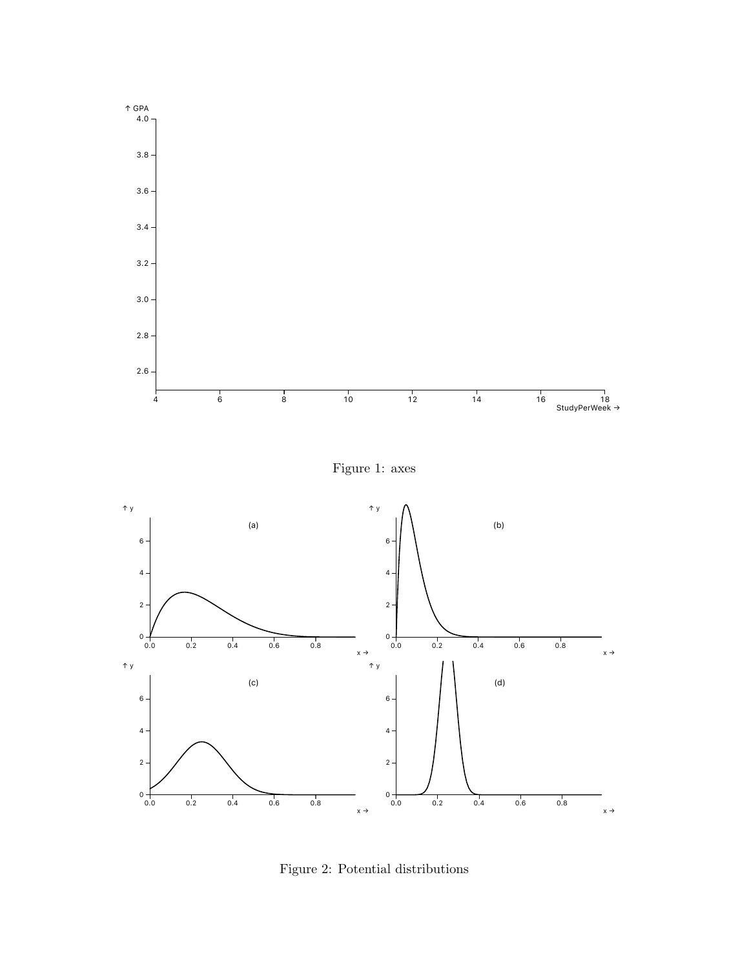

Figure 1: axes



<span id="page-3-0"></span>Figure 2: Potential distributions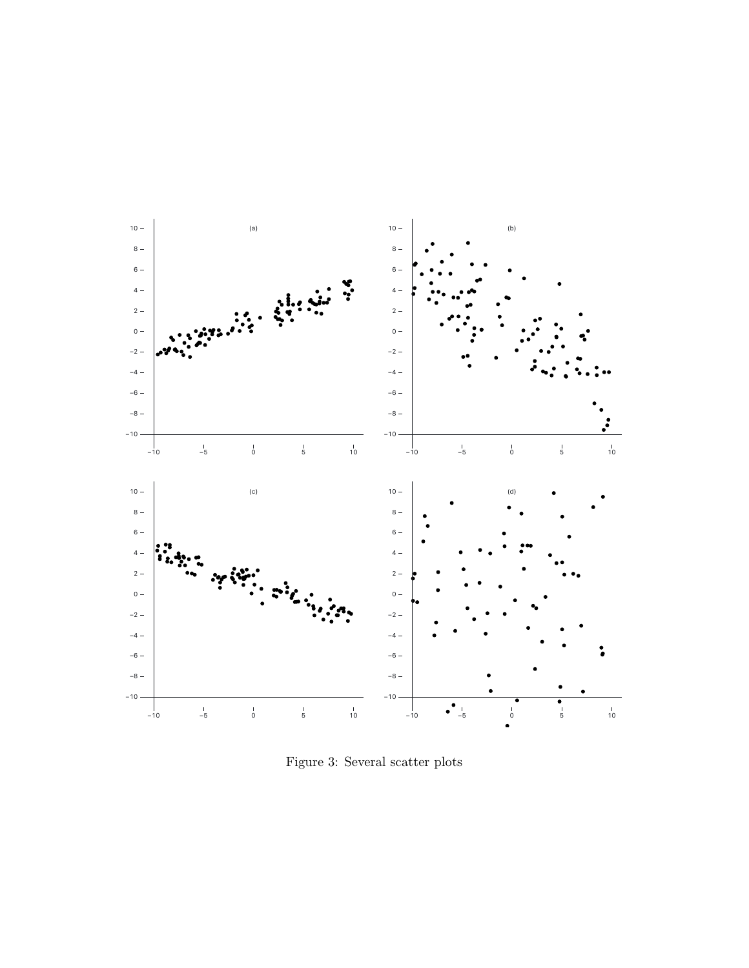

<span id="page-4-0"></span>Figure 3: Several scatter plots